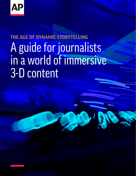

# THE AGE OF DYNAMIC STORYTELLING A guide for journalists in a world of immersive 3-D content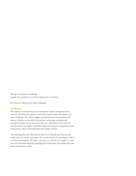The Age of Dynamic Storytelling A guide for journalists in a world of immersive 3-D content

By Francesco Marconi and Taylor Nakagawa

#### **AUTHORS NOTE:**

This report on the next iteration of immersive media is comprised of two sections. The first part captures some of the major trends and industry use cases surfacing so far. These insights are derived from conversations with dozens of leaders in the field of journalism, technology, academia and entrepreneurship. For the second section, we collaborated with a team of neuroscientists to conduct a scientific study measuring user engagement and brain activity when consuming immersive media content.

The resulting ideas and observations allow us to identify ways that virtual reality and 3-D content may impact the current model of storytelling as well as its future development. We hope to present you with the key insights to make your own informed decisions regarding how newsrooms can navigate the next phase of immersive media.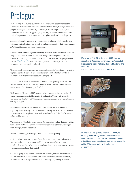# Prologue

In the spring of 2015, two journalists in the interactive department at the Associated Press received a padded briefcase with a heavy, rectangular-shaped gadget. The object inside was a 3-D camera, a prototype provided by the immersive media technology company Matterport, which combined infrared and high-dynamic-range imaging to create "photo-realistic" virtual spaces.

A couple of months later, the two multimedia producers collaborated with a colleague on the business news desk to embark on a project that would change AP's thought process on visual storytelling.

The trio set an ambitious goal to virtually transport news consumers to places they would not — or could not — normally go, including first-class and executive suites in planes, ocean liners and hotels. The resulting experiences formed ["The Suite Life,"](https://interactives.ap.org/2015/suite-life/) an interactive experience unlike anything our newsroom had previously produced.

"There are only so many times you can use phrases like 'luxurious' or 'over the top' to describe these posh accommodations," said Scott Mayerowitz, the business journalist who conceptualized the project.

"In fact, none of those words really do these unique spaces justice. But the second people are transported into these virtual suites and can move around on their own, their jaws drop in shock."

Each space in "The Suite Life" was extensively photographed using the 3-D camera and reconstructed for use in virtual reality. Using a VR headset, viewers were able to "walk" through and experience each environment from a variety of angles.

"We've found that the total immersion of VR makes the experience of exploring a newsworthy location more emotionally impactful and ultimately more memorable," explained Matt Bell, a co-founder and the chief strategy officer at Matterport.

The success of "The Suite Life," helped AP journalists realize that storytelling would soon evolve into a more interactive experience rather than being told from a single, fixed perspective.

We call this new approach to journalism dynamic storytelling.

AP is not alone. Innovators throughout the news industry are collaborating with technology companies and building their own studios to push the envelope in a number of immersive media projects, redefining how stories are planned, produced and distributed.

"VR is not going to replace traditional news formats, but it is an evolution of our desire to want to get closer to the story," said Molly DeWolf Swenson, co-founder of RYOT, a production studio recently acquired by HuffPost.



Matterport's PRO 2 3-D Camera (MC250) is a highresolution 3-D scanning camera that The Associated Press used to create its first virtual reality story, "The Suite Life."

**PHOTO COURTESY OF MATTERPORT**





In "The Suite Life," participants had the ability to virtually travel through some of the world's most lavish accommodations. This 3-D model was captured using Matterport's scanning technology and shows the cabin of Singapore Airlines' first-class suites. **AP PHOTOS**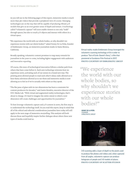As you will see in the following pages of this report, immersive media is much more than 360 videos that provide a peripheral view of a scene. Emerging technologies are on the way that will be capable of producing vibrant 3-D models that give us an even greater sense of depth and texture. A technology called "volumetric capture" will soon enable viewers to not only "walk" through spaces, but also to touch 3-D objects and interact with others in a virtual space.

"We experience the world with our whole bodies, so why shouldn't we experience stories with our whole bodies?" asked Nonny De La Peña, founder of Emblematic Group, an immersive journalism studio in Santa Monica, California.

Broadly speaking, volumetric content promises to reap many rewards for journalism in the years to come, including higher engagement with audiences and innovative reporting.

Of course, this wave of technological innovation follows a similar path from others that have come before it. Each new technology reinvents how we experience news, activating each of our senses in a brand new way: The printing press allowed people to read each other's ideas; radio allowed us to hear them; television allowed us to see them and immersive media is now allowing us to feel as if we're actually with others as they speak.

"The flat pane of glass with its two dimensions has been a constraint for content producers for decades," said Justin Hendrix, executive director of the NYC Media Lab. "With virtual and augmented reality technologies, that's about to change. It's hard to imagine the entire extent to which a new dimension will create challenges and opportunities for journalists."

To best leverage volumetric capture and 3-D content in news, the first step is to understand the technology itself. As you read this report, keep in mind that all of the ethical and editorial considerations journalists have today will still apply in the next stage of immersive storytelling. This analysis will both discuss those and hopefully inspire further dialogue about where these new types of media could lead us.



Virtual reality studio Emblematic Group leveraged the volumetric scanning technology of 8i in order to produce "Out of Exile: Daniel's Story," a film that premiered at Sundance Film Festival in 2017. **PHOTO COURTESY OF EMBLEMATIC GROUP**

"We experience the world with our whole bodies, so why shouldn't we experience stories with our whole bodies?"

**NONNY DE LA PEÑA** FOUNDER EMBLEMATIC GROUP



3-D scanning adds a layer of depth to the pixels used to produce flat photos and videos and, when captured from all angles, volumetric capture can produce holograms of people and 3-D models of places. **PHOTO COURTESY OF SCATTER STUDIOS**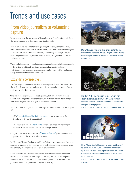# Trends and use cases

# From video journalism to volumetric capture

Before we explore the intricacies of dynamic storytelling, let's first talk about the transformational technologies enabling this shift.

First of all, there are some terms to get straight. In one, very basic sense, this is all about the evolution of virtual reality. This new wave of technologies, known collectively as "immersive media," specifically include 360-degree video, augmented reality (AR) and volumetric capture (includes both CGI and 3-D scanning).

These techniques allow journalists to catapult audiences right into the middle of the action, breaking physical and economic barriers by enabling participants to travel to new environments, explore new realities and gain a new perspective of the world around us.

## Expanding perspectives

The first stage in immersive media was 360-degree video, or "360 video" for short. This format gave journalists the ability to expand their frame of view and capture spherical images.

"The era of 360-degree video is just beginning, but already we've seen its potential and begun to harness the strength that it offers our storytelling," said Jaime Holguin, AP's manager of news development.

Below are three examples of how news organizations have utilized 360-degree video:

- AP's ["House to House: The Battle for Mosul,"](https://www.youtube.com/watch?v=lnvkVW9xFfg) brought viewers to the frontlines of the battle against ISIS.
- The New York Times' ["Life on Mars,"](https://www.nytimes.com/interactive/2017/05/31/science/space/life-on-mars.html?_r=0) chronicled six scientists living in isolation in Hawaii to simulate life on a foreign planet.
- Sports Illustrated and LIFE VR's ["Capturing Everest,"](https://www.si.com/specials/everest-climb-virtual-reality/index.html) gave viewers a new perspective on the world's tallest mountain.

In "House to House: The Battle for Mosul," viewers are transported from one location to another as they follow a group of Iraqi insurgents and experience the difficulty of combat in a dense urban environment.

Voice-overs and on-screen text help build context through the translated voices of civilians and soldiers caught in the fray, but for the entire piece, viewers are stuck in a fixed point and, more important, are reliant on the journalist and a video producer to organize the story.



Maya Alleruzzo, the AP's chief photo editor for the Middle East, stands by her 360-degree camera during the filming of "House to House: The Battle for Mosul." **AP PHOTO**



The New York Times' six-part series "Life on Mars" chronicled the lives of NASA astronauts living in isolation on Hawaii's Mauna Loa volcano to simulate living on a foreign planet. **PHOTO COURTESY OF THE NEW YORK TIMES**



LIFE VR and Sports Illustrated's "Capturing Everest" followed the climb of Jeff Glasbrenner and his crew up Mount Everest in a four-part series of 360 videos. Glasbrenner is the first American amputee to climb Mount Everest.

**PHOTO COURTESY OF SPORTS ILLUSTRATED / LIFE VR**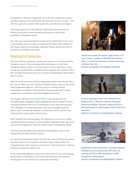"Compared to a still photo assignment, 360 is the ideal medium for combat," said Maya Alleruzzo, the AP journalist who produced "House to House." "The stills were good, but couldn't really capture the scene like the 360 images."

This unique approach of expanding the traditionally fixed frame was an effective entry point to show journalists and audiences the broader possibilities of immersive media.

"360-video was a good introduction to train our journalists how to tell a story in this medium, and it can lead us to approach the future of VR confident in this unique method of storytelling," explained Thomas Seymat, the head of immersive storytelling at Euronews.

### Reaching full immersion

The next iteration of immersive media can be found in 3-D content driven by volumetric capture. This technology allows participants to freely move throughout a photo realistic scene and choose how they experience a story, forcing news professionals to rethink how they organize and construct stories. The new approach promises the next revolution in publishing by immersing us deep in a story.

"After the initial wow factor, the first thing people ask me when they get into a 360 story is, 'What can I do?'" said Jesse Damiani, editor-at-large for the virtual reality publication VRScout. "And if the answer is nothing, then the marketability and viability of the experience drops exponentially; to drive engagement, we need more tactile and tangible interactivity."

For example, ["Beneath These Restless Skies,"](https://www.beneathrestlessskies.com/virtual-reality-1/) a story produced by the journalism studio Empathetic Media highlights the lack of change in Section 8 housing in Harlem, New York. As participants choose their own path and move through a 3-D scanned apartment, they are encouraged to pick up objects such as archival photographs to unlock pieces of the narrative and understand the social climate of the location.

"With 'Beneath These Restless Skies,' the challenge for us was how to chain together these discrete pieces to form a narrative regardless of the order that a user moves through them," said Dan Archer, founder of Empathetic Media.

Note that when journalists give participants more freedom, they are also trading off some of the narrative control.

"As a director of traditional content, you have the control of where the camera is pointed, what is in view, when to transition, when to fade to black. We relinquish much of this control to our viewers in a VR environment," said Dan Kempton an interactive editor at AP.

"Is this a bad thing? Maybe for some, but for those who are up to the challenge, discovering new techniques to solve issues that arise from your audience running amok in your virtual story can be quite rewarding."



Immersive journalist Dan Archer (right) creates a 3-D scan of Trevor, a subject of "Beneath These Restless Skies," an immersive experience on Section 8 housing in Harlem, New York. **PHOTO COURTESY OF HARRIET DEDMAN**



An early rendering of Trevor from "Beneath These Restless Skies," a VR story created by Empathetic Media that combines volumetric capture and CGI to allow participants to walk through a Harlem, New York, apartment.

**PHOTO COURTESY OF EMPATHETIC MEDIA**



Emblematic Group and Frontline's "Greenland Melting" combined the use of stereoscopic 360 video, 3-D scanning and CGI to allow participants to walk throughout a melting glacier. **PHOTO COURTESY OF EMBLEMATIC GROUP**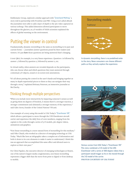Emblematic Group, explored a similar approach with ["Greenland Melting,"](http://emblematicgroup.com/experiences/greenland-melting/) a story told in partnership with Frontline and PBS. Using a tool called zBrush the journalists were able to add a layer of depth to the 360 video captured on various icebergs. This added dimension allowed participants to move throughout the glaciers, as 3-D models of NASA scientists explained the effects of global warming on the environment.

## Putting the viewer in control

Fundamentally, dynamic storytelling is the same as storytelling in its past and current forms — journalists answer questions posed by their readers and viewers. It's just **how** those questions are being answered that's changing.

A text Q&A, for example, is a very linear experience. Question 1 is followed by answer 1, followed by question 2, followed by answer 2, etc.

In virtual reality, when answers are revealed depends on the participants, who can choose when and which questions they want answered through contextual 3-D objects, sound or on-screen text annotations.

"It's all about putting the control in the user's hands and bringing together as many in-depth experiential pieces to them so they can navigate their way through a story," explained Brittany Peterson, an immersive journalist at McClatchy.

### Thinking through multiple perspectives

"When you include more interactivity by impacting someone's senses as well as giving them six degrees of freedom, it means there's a stronger reaction, a stronger commitment and ultimately a stronger memory of the experience," said Gabo Arora, founder of the United Nations' VR unit.

One example of a story using this model is USA Today's ["Eisenhower VR,"](https://www.viveport.com/apps/ec3f2e37-799f-4629-8d1e-842ea1200563)  which allows a participant to move through the USS Eisenhower aircraft carrier and experience the daily lives of crew members, ranging from the captain to the cooks through a series of 3-D models, 360-degree videos, animations and graphics.

"Non-linear storytelling is a more natural form of storytelling for this medium," said Niko Chauls, who worked as a director of emerging technology at USA Today. "Much like how an infographic takes a complex set of information and boils it down to its core elements to make it easier to understand, I think this was an approach that accomplished this same effect and allowed users to explore at their own pace."

For Chris Papaleo, the executive director of emerging technologies at Hearst, one of the nation's largest media conglomerates, non-linear storytelling represents a bigger shift than the move from print to digital or from desktop to mobile.



In dynamic storytelling, there is no predefined order to the story. News consumers can choose different paths as they actively explore the experience.





Various scenes from USA Today's "Eisenhower VR." This story combined a 3-D model of the USS Eisenhower with a series of 360-degree videos that a participant would trigger as he or she moved through the 3-D model of the carrier. **PHOTOS COURTESY OF USA TODAY**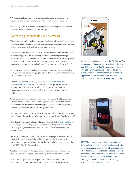"It's not as simple as transposing existing content to a new screen — it requires us to learn new skills and use new tools," explained Papaleo.

"The quality of the experience a viewer gets from VR is impossible to match, VR allows a viewer to feel closer to the subject."

### Connecting technologies and platforms

This new model isn't just about creating a single story. It instead benefits from constructing story packages that can be experienced across multiple platforms and, in some cases, with multiple technologies in play.

"Remaining innovative will involve pursuing the incredible and profound new storytelling opportunities afforded by this rapidly changing technology landscape," said Graham Roberts, director of immersive platforms storytelling at The New York Times. "It will also mean connecting the VR work we produce to other immersive technologies along a spectrum of storytelling."

Beyond virtual reality, journalists are starting to explore augmented reality, or AR, which entails projecting digital 3-D models onto a physical space using a mobile phone's camera.

The Washington Post, for example, partnered with [Empathetic Media](https://www.washingtonpost.com/pr/wp/2016/05/10/the-washington-post-releases-augmented-reality-view-of-freddie-grays-case/?utm_term=.5aff473bbb78)  [to conceptualize an AR extension](https://www.washingtonpost.com/pr/wp/2016/05/10/the-washington-post-releases-augmented-reality-view-of-freddie-grays-case/?utm_term=.5aff473bbb78) of the Post's coverage on of the death of Freddie Gray in Baltimore. Readers of the print edition could use a smartphone app to scan the Post's logo to uncover a 3-D recreation of the event.

"Experimenting with new forms of immersive media is critical because news organizations won't be able to accurately predict which forms will be most widely embraced by the news consuming public,"explained Jeremy Gilbert, The Washington Post's director of strategic initiatives.

"We have to try things and know what stories and techniques work best in any form of immersive media so we're ready when certain forms of media win out."

Elsewhere in the industry, Sports Illustrated and LIFE VR's ["Capturing Everest"](https://www.si.com/specials/everest-climb-virtual-reality/index.html) used an augmented reality plug-in to connect their long-form text story to a series of 360-degree videos that chronicled three climbers ascending up Mount Everest.

"AR really closed the loop with what we were doing in print and what we were doing with 360 content and allowed us to create a full-circle approach in presenting a package with immersive media," said Mia Tramz, managing editor at LIFE VR, Time Inc.'s new VR unit.

"Context is such an important part of what journalists have to bring to the table, and AR puts things in context through a real-world environment."

In fact, AR may provide an entry point for more viewers because the technology may reach consumers quicker than other existing platforms.



Empathetic Media partnered with the Washington Post to combine court documents, eye witness testimony and 3-D imagery into this AR experience on the death of Freddie Grey in Baltimore. To access this story, participants had to download the custom-made ARC application and scan a Washington Post logo. **PHOTO COURTESY OF EMPATHETIC MEDIA**



LIFE VR used augmented reality to connect a longform text story text story on Jeff Glasbrenner, the first American amputee to climb Mount Everest, to a series of 360-degree videos on the same subject. To access the videos, a participant scans the cover of the Sports Illustrated issue with a mobile phone and the 360-degree videos automatically start playing. **PHOTO COURTESY OF LIFE VR**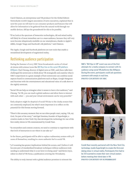Carol Chainon, an entrepreneur and VR producer for the Global Editors Network,the world's largest association of news executives, explained that in next few years we will start to see consumer products and features that will allow for information to be gathered from the natural world through our mobile devices. AR lays the groundwork for this to be possible.

"If we look at the spectrum of immersive technologies, AR and mixed reality will likely be of most immediate use to a mass audience, because they will very soon become ubiquitously available on our smartphones, thanks to Apple's ARKit, Google Tango and Facebook's AR platform," said Chainon.

The Apple, Google and Facebook platforms are new tools that enable a streamlined development of augmented reality.

## Rethinking audience participation

During the Summer of 2017, NBC News broadcasted a series of virtual sit-downs with science icons like [Bill Nye live on the social VR platform](https://altvr.com/bill-nye-altspacevr/)  [AltSpace.](https://altvr.com/bill-nye-altspacevr/) Paul Cheung, director of digital news at NBC, said these talks have challenged his newsroom to think about VR strategically and examine what it NBC's experiment is a great example of how newsrooms can combine social aspects found in communication platforms such as Skype, Google Hangouts and Facetime with the entertainment and educational value of a talk show or the nightly newscast.

"Social VR can help us reimagine what it means to have a live audience," said Cheung. "In VR, you can reach a global audience and allow them to interact with each other — you and your virtual environment can be very powerful."

Early adopters might be skeptical of social VR due to the clunky avatars that are commonly employed, but what's most important is to reflect on the potential for this format moving forward.

"There's this uncanny moment that we see when people react, saying, 'Oh, my God, I'm part of the story,'" said Igal Nassima, founder of Superbright, a creative studio in New York City that developed the technology for one of the first reality shows in VR commissioned by Condé Nast.

"As storytellers and content creators, we need to continue to experiment with that level of interaction to see where it can take us."

In the future, participants will be able to replace rudimentary avatars with 3-D scans of themselves, resulting in a more authentic feel to social VR.

"3-D scanning has greater implications behind the scenes, and I believe it will become part of standardized broadcast techniques without audiences truly needing to understand what it is nor how it is being used," said Kevin Joyce, editor-in-chief of VR Focus, a publication covering the VR industry.

The ability to truly interact with a global audience promises to reinvent the



NBC's "Bill Nye in VR" event was one of the first attempts for a media company to connect with its audience using social VR platforms like AltSpace. During the event, participants could ask questions comment with emojis in real time. **PHOTO COURTESY OF NBC**





Condé Nast recently partnered with the New York City technology studio Superbright to create the first-ever dating show in virtual reality. Participants first had to be 3-D scanned to create their own virtual avatars before meeting their blind date in VR. **PHOTO COURTESY OF SUPERBRIGHT**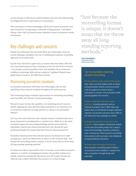current formats of talks shows, political debates and even town hall meetings by bringing the news to participants in virtual spaces.

"The continuation of these technologies will be less focused on presence and more focused on moving along a continuum of being present," said Shawn Cheng, a New York City-based venture capitalist focused on immersive media investments.

# Key challenges and concerns

Despite the enthusiasm that surrounds these new technologies, there are several challenges standing in the way of solidifying the dynamic storytelling approach across newsrooms.

"A great story told well is a great story, no matter what the format. With VR, lots of perennial questions have reemerged, as they do with all new frontiers — for example, around journalism ethics and standards, about newsroom workflows, technology, skills and user adoption," explained Shazna Nessa, global head of visuals at The Wall Street Journal.

### Maintaining journalistic standards

As journalists experiment with these new technologies, they are also upholding certain editorial standards throughout the entire process.

"New technology brings wonderful opportunities for reinventing storytelling," said Lisa Gibbs, AP's director of news partnerships.

"But just because we have the capability to do something doesn't mean we should. Applying the same editorial, ethical standards to our innovations as we would any traditional coverage initiative is critical to our journalistic mission."

Let's say a few years down the road a reporter wants to volumetrically scan a group of protestors marching down a crowded street. While he or she could accurately capture the surrounding buildings and the street itself, the individuals could become blurred and distorted. How should the news professional handle this natural distortion from an ethical perspective?

"Journalists should present their editorial options, but should never make assumptions," said Scott Mayerowitz, an editor on AP's business desk. "Just because the storytelling format is unique, it doesn't mean that we throw away all long-standing reporting methods."

If a newsroom takes it upon itself to alter or recreate a scene without any prior reference, it could be overstepping its bounds. One possible solution is to include a disclosure stating that distortions were left in place because the editorial team couldn't determine the accuracy of a certain footage.

"Just because the storytelling format is unique, it doesn't mean that we throw away all longstanding reporting methods."

**SCOTT MAYEROWITZ** BUSINESS EDITOR ASSOCIATED PRESS

#### Tips for journalists exploring dynamic storytelling

Put the audience at the center of the process. User choice can drive higher levels of impact and participation. Stories can be structured with the audience in mind to allow a participant to uncover virtual elements while piecing together the narrative.

Create an experience that lives across platforms. Including elements such as interactive graphics, flat or 360 videos and photos that can distributed through traditional channels can promote and drive more traffic to

the immersive story package as a whole.

Leverage the expertise of everyone in the newsroom. Early adopters will become experts on this new storytelling model, but it doesn't mean that knowledge should be confined to only a small group. Share dynamic storytelling best practices with your peers and collaborate to expand editorial innovation.

Test and iterate throughout the process. Since dynamic storytelling doesn't follow a structured formula, feedback is needed from story conception, through design and execution.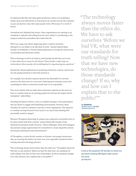In industries like film and video game production, where 3-D modeling is widely used, such distortions or inaccuracies are merely seen by the consumer as poor production value that many people write-off because it's a work of fiction.

Journalism isn't afforded that luxury. News organizations are starting to set standards to uphold truth telling from the start, which is contributing to the progress immersive journalists have made thus far.

**"**We're at a stage now where neglecting ethics could be extremely disruptive to our ability to do this kind of work," warned Saleem Khan, founder of JoVRalism, a Toronto-based publication covering the intersection of journalism and immersive media.

"This technology is still in its infancy, and if people decide they can't trust it, then what does it mean for the future? These doubts could create an environment where people call everything they're experiencing into question."

Beyond the ethical implications in producing volumetric content, newsrooms are also paying attention to how they present it.

For example, how should a reporter present the aftermath of a terrorist attack or the chaos seen in a war zone? Inducing post-traumatic stress isn't something for which a newsroom would want to be responsible.

"The more realistic that we make these immersive experiences the more we have to consider what we are putting people into because the impact will be multiplied," added Khan.

Including disclaimers before a story is a helpful strategy to warn participants they are about to engage with disturbing environments. However, these shouldn't be used as a sanitizer to protect a news organization. The question to consider moving forward is how much is too much when dealing with potentially sensitive images?

"Because VR impacts physiology in unique ways, immersive storytellers have to be extra careful with their content," alerted Sarah Hill, founder of the immersive journalism studio StoryUp. "These challenges, when well-managed, also present unique opportunities for storytellers to create impactful content beyond just information and entertainment."

Al Thompkins, a senior faculty member at Poynter, encouraged newsrooms who are entering this field to set their own, non-negotiable standards before seeking external technology partners.

"The technology always moves faster than the ethics do," Thompkins observed. "We have to ask ourselves 'Before we had VR, what were our standards for truth telling? Now that we have new technologies, do those standards change? If so, why and how can I explain that to the public?'"

"The technology always moves faster than the ethics do. We have to ask ourselves 'Before we had VR, what were our standards for truth telling? Now that we have new technologies, do those standards change? If so, why and how can I explain that to the public?"

**AL THOMPKINS** SENIOR FACULTY MEMBER POYNTER INSTITUTE



A look at the equipment AP provides its immersive journalists shooting 360-degree video around the world. **AP PHOTO**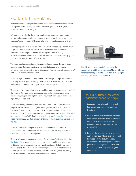### New skills, tools and workflows

Dynamic storytelling requires new skills beyond traditional reporting. These are capabilities more likely to be associated with graphic artists, game developers and motion designers.

"VR reporters need to be fluent in 3-D animation, motion graphics, video editing and technical rendering in order to produce stories in this emerging medium," observed Darrell Allen, an interactive journalism editor with AP.

Gaming programs such as Unity, Unreal and the 3-D modeling software Maya LT provide a foundation for how stories using volumetric content are produced. These programs enable media organizations to build 3-D recreations of news events, to increase the interactivity level of their graphics and to create AR extensions of text stories.

"For news publishers, the immersive nature offers a unique degree of focus from its users. But news publishers are also challenged to provide an experience that is interactive like a video game. That's a difficult combination," said The Washington Post's Gilbert.

James George, a founder of the volumetric scanning tool DepthKit, said this emerging technology is becoming a new genre in of itself and requires skills traditionally considered less important to news companies.

"The future of volumetric is to take the subject matter, themes and approach of the current 360-video world and expand on that format to make it more experiential, magical and explorable in a way that VR animation content is right now," George said.

Cross-disciplinary collaboration is also important to the success of these projects. AP has worked with a game developer and visual effects artist who had worked, among other organizations, at the gaming giant Electronic Arts. Leveraging these skills, we produced a series of experiences generated through computer graphics (CGI) that included an immersive look at [the effects of](https://www.youtube.com/watch?v=ciBCe8YH1wM)  [global warming](https://www.youtube.com/watch?v=ciBCe8YH1wM) and a [virtual museum of the most dangerous invasive species in](https://interactives.ap.org/invasive-species/)  [the U.S.](https://interactives.ap.org/invasive-species/)

Another AP immersive experience using CGI examined the causes of Alzheimer's disease from inside the brain and allowed participants to see first-hand how the condition spreads.

"The use of computer-generated imagery for ["Alzheimer's Disease: Exploring](https://www.youtube.com/watch?v=c0DaIHWTxHw)  [the Brain"](https://www.youtube.com/watch?v=c0DaIHWTxHw) offers the participant a perspective they wouldn't be able to see; in this case, it was a microscopic view inside the brain. CGI also gave us the ability to better tell the story by allowing us to show events that would normally need expensive scientific equipment," said Panagiotis Mouzakis, an AP multimedia animation producer based in London.



The 3-D scanning tool DepthKit combines the capabilities of DSLR camera with the Microsoft Kinect for depth sensing to create 3-D avatars of real people. **PHOTO COURTESY OF DEPTHKIT**

#### Developing 3-D models and virtual environments follows three steps

- 1. Conduct thorough journalistic research, find sources and visual references for the story.
- 2. Build 3-D models of characters, buildings, vehicles and trees that make up the news event. These elements can also be volumetrically captured and processed through CGI.
- 3. Program the behaviors of these elements, such as individuals' facial expressions and how people move through a virtual environment. This entire process requires graphical knowledge and skills that were traditionally exclusively found in game development.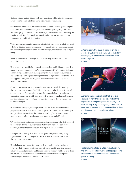Collaborating with individuals with non-traditional editorial skills can enable newsrooms to accelerate their move into dynamic storytelling.

"Journalism is a fairly new entrant into the VR space, whereas game designers and others have been embracing this new technology for years," said Laura Hertzfeld, program director at Journalism 360, a collaborative initiative by the Knight Foundation, the Google News Lab and the Newseum to accelerate immersive storytelling in journalism.

"Right now, the community experimenting in this new space is relatively small — both within journalism and beyond — so people who are passionate about the technology are eager to share their knowledge, and that can only be a good thing."

While this kind of storytelling is still in its infancy, exploration of new technology is key.

"There's no how-to guide for immersive storytelling and I think there's still a sense of mystery around it — we're trying to demystify it by testing different camera setups and techniques, integrating 360 video players in our mobile apps and sites, learning new development and design environments like Unity and Apple's ARKit, and charting new production workflows," explained Heart's Chris Papaleo.

Al Jazeera's Contrast VR unit is another example of knowledge sharing throughout the newsroom. In addition to being a production unit for the Al Jazeera network, Contrast also harbors the responsibility for training other journalists around the world. This approach is giving journalists at Contrast, like Zahra Rasool, the opportunity to beta-test some of the experiences her unit is working on.

"Al Jazeera is a company that's spread around the world and some of the people that we work with haven't been exposed to this kind of storytelling as compared to someone from the United States," explained Rasool, who recently held a training session at the Al Jazeera bureau in Uganda.

"We hold regular training sessions for other journalists and take their feedback to constantly iterate on our stories so that we can create the best stories possible, even for those who have never experienced VR before."

An important takeaway is to provide the space for dynamic storytelling experimentation by building institutional expertise that can be shared throughout the newsroom.

"The challenge for us, and for everyone right now, is creating the bridge between what we can publish now through these quickly evolving, but still relatively nascent platforms and technologies, to what we will be able to do in the future — a future that will probably arrive sooner than we expect," acknowledged Roberts of The New York Times.



AP partnered with a game designer to producer a series of CGI-driven stories, including this story that highlights some of the United States' most invasive species. **AP PHOTO**



"Alzheimer's Disease: Exploring the Brain" is an example of story that isn't possible without the capabilities of computer-generated imagery (CGI). With the help of a game designer, journalists at AP were able to produce an unprecedented look at how this disease spreads throughout the brain. **AP PHOTO**



"Global Warming: Signs & Effects" simulates how the "greenhouse effect" works and highlights some associated climate trends and their influence on global warming. **AP PHOTO**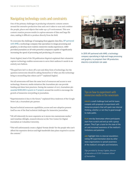### Navigating technology costs and constraints

One of the primary challenges in producing volumetric content centers around the extensive production time and cost it takes to scan and combine the people, places and objects that make up a 3-D environment. This new content creation process results in copious amounts of data and large file sizes, making it difficult to produce directly from the field.

To overcome the challenge of managing these gigantic data files, [AP partnered](http://www.amd.com/en-us/press-releases/Pages/amd-and-the-2016feb17.aspx)  [with AMD](http://www.amd.com/en-us/press-releases/Pages/amd-and-the-2016feb17.aspx), a technology company that specializes in image processing and graphics, to develop more realistic immersive media experiences. AMD provided journalists at AP with powerful computers capable of significantly increasing the speed of processing and producing 3-D content.

Deniz Ergürel, head of the VR publication Haptical explained that volumetric capture technology enables newsrooms to serve their audience's needs in an entirely new fashion.

"The goal here isn't to show off a new and shiny form of technology, but the question newsrooms should be asking themselves is 'what can this technology bring to storytelling that others can't?'" explained Ergürel.

Not all newsrooms will have the same level of resources and access to new technology. However, media initiatives like Journalism 360 can provide funding and share best practices. During the summer of 2017, Journalism 360 [awarded \\$285,000 in grants to 11 projects](https://journalists.org/2017/07/11/journalism-360-challenge-awards-285000-11-projects-advance-use-immersive-storytelling-news/) around the world to encourage the growth of immersive storytelling in journalism.

"Experimentation is key to the future," explained Erica Anderson of the Google News Lab, a Journalism 360 partner.

Beyond technical newsroom capabilities, access and user adoption present itself as one of the final technical challenges for immersive journalism.

"VR will inherently be more expensive as it moves into mainstream media," said Jonathan Albright, research director at the Tow Center for Digital Journalism at Columbia University.

"This will unfortunately create a digital 'format divide' for the people who can't afford the expensive devices and high-bandwidth data plans required to access the content."



In 2015 AP partnered with AMD, a technology company specializing in high-end image processing and graphics, to jumpstart their VR production. **PHOTO COURTESY OF AMD**

### Tips on how to experiment with immersive media in the newsroom

Create a small challenge fund and let teams compete with proposals to experiment with immersive projects that will spark new internal thinking, whether or not they're good enough to make public.

Plan one-day bootcamps where participants start from scratch and end up with a group project. They'll get a taste for the state of the art and increased awareness of the medium's limitations and potential.

ADD highlight links to internal newsletters noting VR experimentation done by other news organizations to spread awareness of the medium's strengths and limitations.

*Tips provided by Jeremy Caplan, director of education at CUNY Graduate School of Journalism.*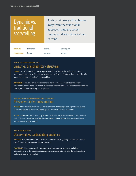# Dynamic vs. traditional storytelling

As dynamic storytelling breaks away from the traditional approach, here are some important distinctions to keep in mind.

participant

| <b>DYNAMIC</b>     | <b>branched</b> | active  | partici |
|--------------------|-----------------|---------|---------|
| <b>TRADITIONAL</b> | linear          | passive | viewer  |

### HOW IS THE STORY CONSTRUCTED? Linear vs. branched story structure

Linear The order in which a story is presented is vital for it to be understood. More important, linear storytelling requires there to be a "giver" of information — traditionally journalists — and a "receiver" — the public.

Branched There is no predefined order to a story. Stories are created as interactive experiences, where news consumers can choose different paths. Audiences actively explore stories, rather than passively viewing them.

### HOW WILL A PARTICIPANT CONSUME THIS EXPERIENCE? Passive vs. active consumption

Passive Observers have limited control over how a story progresses. A journalist guides them through the narrative and packages the information in a fixed order.

ACTIVE Participants have the ability to affect how their experience evolves. They have the freedom to dictate how they consume information, whether that's through movement, interaction or story structure.

### WHO IS THE AUDIENCE? Observing vs. participating audience

Observer The producer of the story is in complete control, guiding an observant user in specific ways to transmit certain information.

PARTICIPANT Users command how they move through an environment and digest information, with the freedom to participate, touch and interact with the people, places and events that are presented.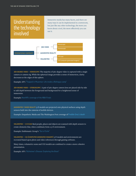# Understanding the technology involved

Immersive media has many facets, and there are many ways it can be implemented in a newsroom, but just like any other technology, the more you know about a tool, the more effectively you can use it.



360-degree video — Monoscopic The majority of 360-degree video is captured with a single camera or camera rig. While the spherical image provides a sense of immersion, clarity decreases at the edges of this sphere.

Example: AP's ["Trapped in Myanmar: Life inside a Rohingya camp"](https://www.youtube.com/watch?v=nBbJ1Q0jU6w)

360-degree video — Stereoscopic: A pair of 360-degree camera lens are placed side by side to add depth between the foreground and background for a heightened sense of immersion.

Example: [NextVR's coverage of the NBA Finals](https://www.youtube.com/watch?v=IOFr87w8YPc)

Augmented / Mixed Reality 3-D models are projected onto physical surfaces using depth sensors built into the cameras of mobile devices.

Example: Empathetic Media and The Washington Post coverage of [Freddie Grey's death](https://www.washingtonpost.com/pr/wp/2016/05/10/the-washington-post-releases-augmented-reality-view-of-freddie-grays-case/?utm_term=.bea51f203860)

Volumetric — 3-D scan Real people, places and objects are scanned with depth sensors to create elements that, when combined, form a 3-D environment.

Example: Emblematic Group's ["Out of Exile"](http://emblematicgroup.com/experiences/out-of-exile/)

VOLUMETRIC - CGI (COMPUTER-GENERATED IMAGERY) 3-D models and environments are recreated based upon photo and video references through gaming software.

Many times, volumetric scans and CGI models are combined to create a more cohesive presentation.

Example: AP's ["Alzheimer's Disease: Exploring the Brain"](https://www.youtube.com/watch?v=c0DaIHWTxHw)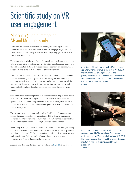# Scientific study on VR user engagement

# Measuring media immersion: AP and Multimer study

Although news consumers may not consciously realize it, experiencing immersive media activates thousands of physical and physiological stimuli. These changes can result in participants becoming so engaged that they hardly notice their surroundings.

To measure the psychological effects of immersive storytelling, we teamed up with neuroscientists at Multimer, a New York City-based company born out of the MIT Media Lab that has developed mobile biosensors used to measure a person's mental state as they performed different activities.

The study was conducted at New York University's VR Lab MAGNET (Media and Game Network), a facility dedicated to studying the intersection of emerging technology and culture. MAGNET's Black Box Theater provided us with state-of-the-art equipment, including a motion-tracking system and room-scale VR headsets that allow participants to move through a virtual scene.

The immersive experiences presented included three 360-degree video stories as well as a CGI room-scale experience. These stories featured the fight against ISIS in Iraq, a cultural parade in New Orleans, an exploration of the ivory trade in Thailand and an underwater experience exploring biodiversity and marine species.

Twelve study participants were paired with a Multimer staff member, who helped them put on motion-capture suits, an EEG brainwave sensors and heart-rate monitors. Staffers also calibrated each participant's sensor readings and monitored their movement through a motion-tracking system.

While study participants experienced each story in VR across multiple viewing devices, our team recorded their brain activities, heart rates and body motions. In addition, individuals filled out surveys in the Multimer data app asking how each story impacted them emotionally and whether there were particular moments in each story that sparked their feelings.

A detailed methodology for this study is outlined on [Page 24](#page-25-0) of this report.



A participant fills out a survey on the Multimer mobile app after watching a virtual story at AP's VR study at the NYC Media Lab on August 12, 2017. The participants were asked to explain what emotions were associated with each story and a specific moment in each story that stood out to them. **AP PHOTO**



Motion tracking sensors were placed on individuals who participated in The Associated Press' virtual reality study at the NYC Media Lab on August 12, 2017. The motion tracking data showed that stories dynamic in nature resulted in more movement by each participant. **AP PHOTO**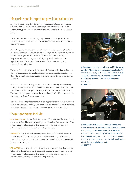## Measuring and interpreting physiological metrics

In order to understand the effects of VR on the brain, Multimer's research scientists first had to identify the core physiological metrics that can be broken down, parsed and compared with the study participants' qualitative feedback.

These core metrics include two key "ingredients": a participant's overall attention to a particular story, and their overall relaxation associated to that same experience.

Quantifying levels of attention and relaxation involves examining the alpha and theta brain waves that were collected throughout the study via Multimer's mobile app. In general, prior research indicates that brainwave alpha frequency in the broad range of about 6.5–10.5 Hz is associated with a significant level of attention. An increase in theta waves (4–7.75 Hz) is associated with relaxation.

These baseline readings provide a framework that can be further analyzed to uncover more specific states of mind using the contextual information of a story, the device that an individual was using as well as the participant's own feedback.

Multimer's data scientists hypothesized the presence of key sentiments by looking for specific balances of the brain waves associated with attention and relaxation, as well as analyzing them against heart rate and verbal feedback. This was done using custom algorithms based on prior Multimer research and the study participants' verbal comments.

Note that these categories are meant to be suggestive rather than prescriptive or fully descriptive; to be fully confirmed, they would require robust statistical analysis and repeated data collection in the context of VR technology.

## These sentiments include:

Open-mindedness Associated with an individual being attracted to a topic, but not alarmed. For this metric, a participant exhibits less than 44 percent of the overall range of attention, less than 53 percent of the overall range for relaxation and an average of 77 heartbeats per minute.

FASCINATION Associated with a relaxed interest in a topic. For this metric, a participant exhibits less than 57 percent of the overall range of attention, greater than 53 percent of the overall range for relaxation and an average of 82 heartbeats per minute.

STIMULATION Associated with an individual being more attentive than they are relaxed. For this metric, a participant exhibits greater than 50 percent of the overall range of attention, less than 53 percent of the overall range for relaxation and an average of 82 heartbeats per minute.



Arlene Ducao, founder of Multimer, and NYU research assistant Alexis Trevizo observe participants of AP's virtual reality study at the NYC Media Lab on August 12, 2017. Ducao and Trevizo were responsible for running the motion-capture system throughout the study. **AP PHOTO**



Participants watch the AP's "House to House: The Battle for Mosul" on a VR cardboard as part of a virtual reality study at the New York City Media Lab on August 12, 2017. The participants were hooked up to brainwave sensors, heart rate monitors and a motion tracking system in order to test how various VR stories affected their psychological state. **AP PHOTO**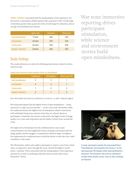POWER / INTENSITY Associated with the lasting impact of the experience. For this metric, a participant exhibits greater than 44 percent of the overall range of attention, greater than 54 percent of the overall range for relaxation, and an average of 84 heartbeats per minute.

|                          | Heart rate | Attention        | Relaxation |
|--------------------------|------------|------------------|------------|
| <b>OPEN-MINDEDNESS</b>   | 77 BPM     | 44%              | 53%        |
| <b>FASCINATION</b>       | 82 BPM     | 57%              | 53%        |
| <b>STIMULATION</b>       | 82 BPM     | 50%              | 50%        |
| <b>POWER / INTENSITY</b> | 84 BPM     | $\Delta\Delta\%$ | 54%        |

### Study findings

The results allowed us to derive the following observations related to device and story type.

|                          | Cardboard | <b>VR</b> headset | Room-scale VR |  |  |
|--------------------------|-----------|-------------------|---------------|--|--|
| <b>OPEN-MINDEDNESS</b>   |           |                   |               |  |  |
| <b>FASCINATION</b>       |           |                   |               |  |  |
| <b>STIMULATION</b>       |           |                   |               |  |  |
| <b>POWER / INTENSITY</b> |           |                   |               |  |  |

HANDS-EDEE HEADSETS DRIVE HIGHER LEVELS OF ENGAGEMENT.

*Note: We ranked each device by sentiment on a scale of 1–3, with 1 being the highest.* 

We found participants had the highest levels of open-mindedness — being attracted to a topic, but not alarmed — on the room-scale VR headset, while the cardboard elicited the highest level of stimulation, which is associated with individuals being more attentive than they are relaxed. Based on participants' comments, this may be connected to the higher levels of image quality on a room-scale experience and the ability to freely move around the room.

The high levels of stimulation for the cardboard device may sound counterintuitive, but this heightened sensory reading is associated with low image quality and the struggle to comprehend a blurred image. In addition, the requirement for cardboard users to hold the device to their face also could contribute to this result.

The VR headsets, which only enable a participant to watch a story from a fixed space, as opposed to move through the scene, elicited the highest overall power / intensity. This is associated with the lasting impact of the experience and may be a result of combining relatively intense stories with a more "immersive" device.



A study participant watches the Associated Press' "Thai Elephants: Surviving the 21st Century" on the Samsung Gear VR headset while wearing Multimer's biosensor. The biosensor clips onto an individual's earlobe while another sensor rests on their forehead. **AP PHOTO**

War zone immersive reporting drives participant stimulation, while science and environment stories build open-mindedness.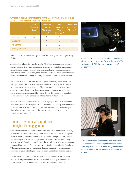WAR ZONE IMMERSIVE REPORTING DRIVES PARTICIPANT STIMULATION, WHILE SCIENCE and environment stories build open-mindedness.

|                          | <b>Conflict</b><br>"House to<br>House" | <b>Culture and</b><br>lifestyle<br>"The Second<br>Line" | <b>Beat</b><br>reporting<br>"Thai<br>Elephants" | Science and<br>environment<br>"The Blu" |
|--------------------------|----------------------------------------|---------------------------------------------------------|-------------------------------------------------|-----------------------------------------|
| <b>OPEN-MINDEDNESS</b>   |                                        | 3                                                       | 2                                               |                                         |
| <b>FASCINATION</b>       |                                        |                                                         | $\mathfrak{D}$                                  | 3                                       |
| <b>STIMULATION</b>       |                                        | 3                                                       | 2                                               |                                         |
| <b>POWER / INTENSITY</b> |                                        | $\mathfrak{D}$                                          | 3                                               |                                         |

*Note: We ranked each experience by sentiment on a scale of 1–4, with 1 again being the highest.* 

All physiological metrics were lowest for "The Blu," an experience exploring marine biodiversity, which was the single experience tested on a room-scale level. This may suggest a higher level of engaged open-mindedness (being attracted by a topic). However, more scientific testing is needed to determine if this sentiment is caused by the story, the device or another factor entirely.

Metrics associated with stimulation and power / intensity — related to the lasting impact of the experience — were highest for "The battle for Mosul," a story documenting the fight against ISIS in a major city in northern Iraq. Across those metrics, this particular experiences measured 4 to 6 percent higher than other experience. The scenes shot in the Iraqi city of Mosul also elicited the most participant comments related to strife and fear.

Metrics associated with fascination — eliciting higher levels of attentiveness than relaxation — were highest for "The Second Line," a story that celebrates multiculturalism in New Orleans. Those metrics were 5 to 7 percent higher than other stories. It also garnered the most comments describing the experience as "pleasant."

### The more dynamic an experience, the higher the engagement

The initial results of our study surfaced that immersive experiences, allowing participants to freely move through a virtual environment, drove the highest levels of open-mindedness and fascination. These findings demonstrate that while study participants were playing close attention to the content, they did so in a state of relaxation — speaking to the overall sense of being present and immersed in the scene. For story topics specifically, our study also found that VR experiences related to science and discovery, presented in a room-scale environment, drove the highest levels of open-mindedness and fascination.

On the other hand, the analysis revealed that experiences in a VR headset resulted in heightened levels of stimulation and intensity. Stimulation and intensity both involve an elevated heart rate and levels of attention.



A study participant watches "The Blu," a room-scale virtual reality story, on the HTC Vive during AP's VR study at the NYC Media Lab on August 12, 2017. **AP PHOTO**



A study participant watches the Associated Press' "The Second Line: A parade against violence" on the Samsung Gear VR headset while being connected to Multimer's biosensor and a motion tracking system. **AP PHOTO**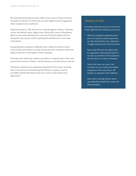We noted that presenting war and conflict stories such as "House to House: The battle for Mosul" in a VR headset can drive higher levels of engagement when compared to the cardboard.

Experiences such as "The Second Line: A parade against violence," featuring culture and lifestyle topics, aligned most closely with a sense of fascination. Based on our results showing that room-scale VR had the highest level of fascination, this content could be optimized if distributed in a room-scale environment.

Extrapolating how audiences implicitly react to different forms of stories across media environments can help newsrooms meet consumers' needs and improve upon the overall impact of their reporting.

"Creating a new media type requires storytellers to suspend some of their own preconceived notions or biases," said Ken Romano, a product director with AP.

"Immersive experiences are ultimately being built for their users. Involving them in the process and monitoring their behavior is going to uncover incredibly valuable information that can be used to refine future story approaches."

#### Takeaways to retain

Journalists working in this area of immersive media might drive the following conclusions.

- While the cardboard enabled the entry point for immersive media experiences, our data showed there was a significant struggle viewing stories with that device.
- Room-scale VR drove the highest level of engagement, allowing participants to not only pay attention to the experience, but they did so in a state of relaxation.
- Stories that cover war zones, riots and other forms of conflict drive higher engagement when consumed in VR headsets as opposed to the cardboard.
- News topics covering science, nature and exploration benefit from room-scale VR presentation.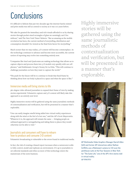# **Conclusions**

It's difficult to fathom that just two decades ago the internet barely existed and print media was still as central to society as it was 100 years before.

"We take for granted the immediacy and rich visuals afforded to us by sharing stories through pocket-sized rectangles of glass we seemingly can't live without," said The New York Times' Roberts. "But as amazing as the mobile revolution has been, the current method of storytelling, distribution and consumption shouldn't be viewed as the final form factor for storytelling."

Much sooner than we may realize, 3-D content will become commonplace. As the technology continues to advance and become more accessible, the current notion of reporting may evolve into something entirely new.

"Companies like Intel and Qualcomm are making technology that allows us to capture objects and process them into 3-D models very quickly with our cell phones," said Emblematic Group's Nonny De La Peña. "This will continue to challenge journalists on how they want to capture the world."

"The push for the future will be to continue to break that fixed frame by thinking about how our body is placed in a space and what the space is like."

### Immersive media will bring stories to life

360-degree video allowed journalists to expand their frame of view by making stories experiential. Volumetric capture and 3-D content will likely take this approach to an entirely new level.

Highly immersive stories will be gathered using the same journalistic methods of contextualization and verification, but will be presented in a manner that's explorable.

"One can easily imagine smells being added into virtual reality experiences along with the wind or the feel of a hot sun," said the AP's Scott Mayerowitz. "Whatever it is, the approach will remain the same — bringing people an unbiased approach to newsgathering and taking them to places they would otherwise not be able to visit."

### Journalists and consumers will have to relearn how to produce and consume 3-D content

Volumetric broadcasting is vulnerable to the errors found in traditional media.

In fact, the risk of creating a biased report increases when a newsroom is able to fully control, model and replicate an environment. It's up to journalists to set editorial standards and ethics as more of this technology enters the mainstream of the news business.

Highly immersive stories will be gathered using the same journalistic methods of contextualization and verification, but will be presented in a manner that's explorable.



AP Multimedia Video Graphics Manager Darrell Allen (left) and former AP interactives editor Nathan Griffiths use a Matterport camera to 3-D scan the penthouse suite at the Four Seasons in New York for "The Suite Life," one of the AP's first stories told in virtual reality. **AP PHOTO**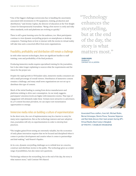"One of the biggest challenges newsrooms face is handling the uncertainty associated with investments in VR equipment, training, production and distribution," said Jeremy Caplan, the director of education at the Tow-Knight Center for Entrepreneurial Journalism. "Being a first mover is costly and risky when standards, tools and platforms are evolving so quickly."

There is still a great learning curve for the audience, too. Most participants continue to view dynamic storytelling projects on smartphones or desktop computers. Training them on how to interact with the stories in virtual reality will take time and a concerted effort from news organizations.

### Feasibility, profitability and distribution still remain a challenge

As with other nascent technologies, there are significant hurdles to staff training, costs and profitability of the final products.

Producing immersive media requires specialized training for the journalists, but it also takes longer explaining to sources what the requirements and the vision for the project are.

Despite the rapid growth in VR headset sales, immersive media consumers are still a small percentage of overall viewers. Distribution of immersive content remains a challenge, and many small news organizations are not set up to distribute this type of content.

Much of the initial funding is coming from device manufacturers and platforms wishing to drive user consumption. As our study suggests, participants' attention levels are higher with immersive stories. That type of engagement will ultimately make these formats more attractive to advertisers. As 3-D content becomes prevalent, we can expect new monetization opportunities to emerge.

#### Immersive media relies on building a culture of experimentation

In the short term, the cost of implementation may be a barrier to entry for many news organizations. But as the technology matures and user adoption rises, journalists will rely on experimentation in order to develop best practices.

"The insights gained from testing are extremely valuable, but the economics of early-phase innovation requires that we be focused and disciplined when it comes to product development and creative when it comes to partnerships and deal-making," said Hearst's Papaleo.

At its core, dynamic storytelling challenges us to rethink how we conceive, construct and distribute stories to the public. The technology gives us a wider range of possibilities, but also raises new questions.

"Technology enhances the storytelling, but at the end of the day, the story is what matters most," said Contrast VR's Rasool.

"Technology enhances the storytelling, but at the end of the day, the story is what matters most."

**ZAHRA RASOOL** JOURNALIST CONTRAST VR, AL JAZEERA



Associated Press staffers, from left, Michael Rubin, Bernat Armangue, Dennis Passa, Tassanee Vejponsa and Koji Ueda discuss their team project during AP's Virtual Reality Boot Camp in Bangkok **AP PHOTO / CHARLES DHARAPAK**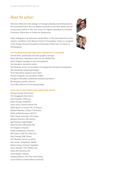### About the authors

Francesco Marconi is the manager of strategic planning and development at The Associated Press. He is an affiliate researcher at the MIT Media Lab and an innovation fellow at The Tow Center for Digital Journalism at Columbia University. Follow him on Twitter at @fpmarconi. Francesco Marconi is the manager candidate researcher at the MIT Media Lab and<br>an innovation fellow at The Tow Center for Digital Journalism at Columbia<br>University. Follow him on Twitter at @fpmarconi.<br>Taylor Nakagawa is a

Taylor Nakagawa is an immersive media fellow at The Associated Press and a of the Scripps Howard Foundation Scholarship. Follow him on Twitter at @tknakagawa.

#### The following Associated Press staff contributed to this report

Darrell Allen, multimedia and video graphics manager Maya Alleruzzo, chief photo editor for the Middle East Jaime Holguin, manager of news development Dan Kempton, interactive editor Jim Kennedy, senior vice president of strategy and enterprise development Jake Kreinberg, marketing manager Scott Mayorwitz, business news editor Vincent Trippodi, vice president of R&D Panagiotis Mouzakis, multimedia animation producer Ken Romano, product director Lisa Gibbs, director of news partnerships

#### Thank you to these experts who shared their insights

Thomas Seymat (Euronews) Ole Krogsgaard (Euronews) Jesse Damiani (VRScout) James George (DepthKit) Gabo Arora (United Nations VR) Zahra Rasool (Contrast VR, Al Jazeera) Michael Mandary (Tulane University) Molly DeWolf Swenson (RYOT) Niko Chauls (formally USA Today) Brittany Peterson (McClatchy) Igal Nassima (Superbright) Alexy Furman (Aftermath VR) Al Tompkins (Poynter) Indira Lakshmanan (Poynter) Mia Tramz (LIFE VR, Time Inc.) Paul Cheung (NBC News) Eric Shamlin (Secret Location) Dan Archer (Empathetic Media) Shawn Cheng (Venture Capitalist) Justin Hendrix (NYC Media Lab) Sarah Hill (StoryUp VR) Chris Papaleo (Hearst) Graham Roberts (The New York Times) Carol Chainon (Global Editors Network)



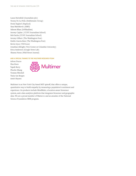Laura Hertzfeld (Journalism 360) Nonny De La Peña (Emblematic Group) Deniz Ergürel (Haptical) Sasa Marinkovic (AMD) Saleem Khan (JoVRnalism) Jeremy Caplan ( CUNY Journalism School) Bob Sacha (CUNY Journalism School) Jeremy Gilbert (The Washington Post) Emilio Garcia-Ruiz (The Washington Post) Kevin Joyce (VR Focus) Jonathan Albright (Tow Center at Columbia University) Erica Anderson (Google News Lab) Shazna Nessa (Wall Street Journal)

#### And a special thanks to the Multimer research team

Arlene Ducao Ilias Koen Yapah Berry Phoebe Zhang Tommy Mitchell Tania van Bergen Amiri Haynes



Multimer is an New York City-based MIT spinoff, that offers a unique, quantitative way to build empathy by measuring a population's sentiment and experience. Its products include MindRider, a location-aware biosensor system, and a data analytics platform that integrates biosensor and geographic data. We are a proud member of Matter.vc and an awardee of the National Science Foundation SBIR program.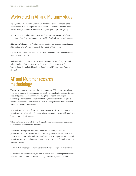# Works cited in AP and Multimer study

Egner, Tobias, and John H. Gruzelier. "EEG biofeedback of low beta band components: frequency-specific effects on variables of attention and eventrelated brain potentials." Clinical neurophysiology 115.1 (2004): 131–139.

Jacobs, Gregg D., and Richard Friedman. "EEG spectral analysis of relaxation techniques." Applied psychophysiology and biofeedback 29.4 (2004): 245–254.

Klimesch, Wolfgang, et al. "Induced alpha band power changes in the human EEG and attention." Neuroscience letters 244.2 (1998): 73–76.

Teplan, Michal. "Fundamentals of EEG measurement." Measurement science review 2.2 (2002): 1–11.

Williams, John D., and John H. Gruzelier. "Differentiation of hypnosis and relaxation by analysis of narrow band theta and alpha frequencies." International Journal of Clinical and Experimental Hypnosis 49.3 (2001): 185–206.

# <span id="page-25-0"></span>AP and Multimer research methodology

This study measured heart-rate (beats per minute), EEG brainwaves (alpha, beta, delta, gamma, theta frequency bands) from a single electrode device, and recorded participant comments. The sample size was 12, and simple percentages were used to compare outcomes; further statistical analysis is required to determine correlation and statistical significance. The process of this study followed these steps:

12 participants were scheduled over three 2.5-hour sessions. There were four participants in each session. Each participant was compensated with an AP gift bag, snacks, and refreshments.

When participants arrived, they first signed waiver forms acknowledging they understood how data would be recorded.

Participants were paired with a Multimer staff member, who helped participants to outfit themselves in a motion-capture suit, an EEG sensor, and a heart-rate monitor. The Multimer staff member also helped to calibrate each participant's sensor readings and monitor their movement through a motiontracking system.

An AP staff member paired participants with VR technologies in this manner

Over the course of the session, AP staff members helped participants to rotate between three stations, with the following VR technologies and stories: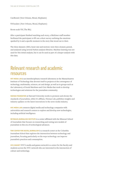Cardboard (New Orleans, Mosul, Elephants)

VR headset (New Orleans, Mosul, Elephants)

Room-scale VR (The Blu)

After a participant finished watching each story, a Multimer staff member facilitated the participant to fill out a short survey outlining the emotions sparked by it and a specific moment in the story that stood out to their.

The three datasets (EEG, heart rate and motion) were then cleaned, parsed, and analyzed using several Python analysis libraries. Machine learning was not used for this initial analysis, but it can be used as part of a deeper analysis with this data.

## Relevant research and academic resources

MIT MEDIA LAB is an interdisciplinary research laboratory at the Massachusetts Institute of Technology that devotes itself to projects at the convergence of technology, multimedia, sciences, art and design, as well as to groups such as the Laboratory of Social Machines and Civic Media that work to develop technologies and solutions for the journalism community.

Nieman Foundation at Harvard University works to promote and elevate the standards of journalism, while it's affiliate, Nieman Lab, publishes insights and industry updates on the latest innovations in the news media industry.

NYC Media Lab connects digital media and technology companies with universities and research centers to explore and develop new technologies, including artificial intelligence.

REYNOLDS JOURNALISM INSTITUTE is a center affiliated with the Missouri School of Journalism that focuses on researching and testing new models of journalism in this era of technological advances.

TOW CENTER FOR DIGITAL JOURNALISM is a research center at the Columbia Journalism School that explores the intersection between technology and journalism, focusing particularly on the ways technology can improve journalistic practices and consumption.

NYU MAGNET NYU's media and games network is a center for the faculty and students across the NYU network who are interested in the intersection of culture and technology.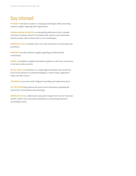# Stay informed

AP INSIGHTS introduces readers to emerging technologies while presenting industry insights regarding their implications.

Columbia Journalism Review is a bimonthly publication of the Columbia University Graduate School of Journalism that explores news and media industry trends, often as they relate to new technologies.

Journalism.co.uk is a website that covers the intersection of technology and journalism.

MEDIASHIFT provides industry insights regarding journalism-based technologies.

NIEMAN LAB publishes insights and industry updates on the latest innovations in the news media industry.

THE NYC MEDIA LAB newsletter is a weekly digital newsletter that details the most recent advances in artificial intelligence, virtual reality, augmented reality and data science.

STORYBENCH covers the world of digital storytelling and media innovation.

THE TOW CENTER blog explores the most recent information regarding the intersection of journalism and technology.

JOURNALISM 360 is a collaboration among the Google New Lab, the Newseum and the Online News Association dedicated to accelerating immersive storytelling in news.